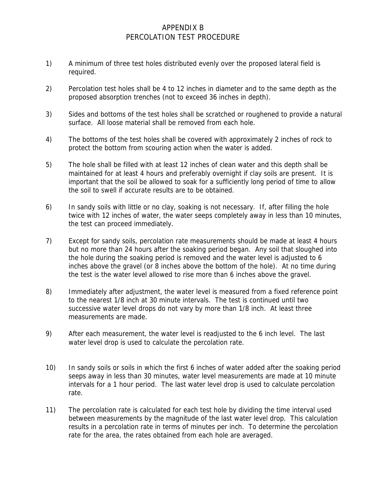## APPENDIX B PERCOLATION TEST PROCEDURE

- 1) A minimum of three test holes distributed evenly over the proposed lateral field is required.
- 2) Percolation test holes shall be 4 to 12 inches in diameter and to the same depth as the proposed absorption trenches (not to exceed 36 inches in depth).
- 3) Sides and bottoms of the test holes shall be scratched or roughened to provide a natural surface. All loose material shall be removed from each hole.
- 4) The bottoms of the test holes shall be covered with approximately 2 inches of rock to protect the bottom from scouring action when the water is added.
- 5) The hole shall be filled with at least 12 inches of clean water and this depth shall be maintained for at least 4 hours and preferably overnight if clay soils are present. It is important that the soil be allowed to soak for a sufficiently long period of time to allow the soil to swell if accurate results are to be obtained.
- 6) In sandy soils with little or no clay, soaking is not necessary. If, after filling the hole twice with 12 inches of water, the water seeps completely away in less than 10 minutes, the test can proceed immediately.
- 7) Except for sandy soils, percolation rate measurements should be made at least 4 hours but no more than 24 hours after the soaking period began. Any soil that sloughed into the hole during the soaking period is removed and the water level is adjusted to 6 inches above the gravel (or 8 inches above the bottom of the hole). At no time during the test is the water level allowed to rise more than 6 inches above the gravel.
- 8) Immediately after adjustment, the water level is measured from a fixed reference point to the nearest 1/8 inch at 30 minute intervals. The test is continued until two successive water level drops do not vary by more than 1/8 inch. At least three measurements are made.
- 9) After each measurement, the water level is readjusted to the 6 inch level. The last water level drop is used to calculate the percolation rate.
- 10) In sandy soils or soils in which the first 6 inches of water added after the soaking period seeps away in less than 30 minutes, water level measurements are made at 10 minute intervals for a 1 hour period. The last water level drop is used to calculate percolation rate.
- 11) The percolation rate is calculated for each test hole by dividing the time interval used between measurements by the magnitude of the last water level drop. This calculation results in a percolation rate in terms of minutes per inch. To determine the percolation rate for the area, the rates obtained from each hole are averaged.